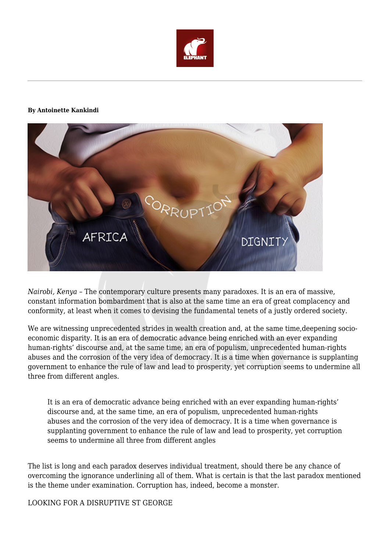

## **By Antoinette Kankindi**



*Nairobi, Kenya* – The contemporary culture presents many paradoxes. It is an era of massive, constant information bombardment that is also at the same time an era of great complacency and conformity, at least when it comes to devising the fundamental tenets of a justly ordered society.

We are witnessing unprecedented strides in wealth creation and, at the same time,deepening socioeconomic disparity. It is an era of democratic advance being enriched with an ever expanding human-rights' discourse and, at the same time, an era of populism, unprecedented human-rights abuses and the corrosion of the very idea of democracy. It is a time when governance is supplanting government to enhance the rule of law and lead to prosperity, yet corruption seems to undermine all three from different angles.

It is an era of democratic advance being enriched with an ever expanding human-rights' discourse and, at the same time, an era of populism, unprecedented human-rights abuses and the corrosion of the very idea of democracy. It is a time when governance is supplanting government to enhance the rule of law and lead to prosperity, yet corruption seems to undermine all three from different angles

The list is long and each paradox deserves individual treatment, should there be any chance of overcoming the ignorance underlining all of them. What is certain is that the last paradox mentioned is the theme under examination. Corruption has, indeed, become a monster.

LOOKING FOR A DISRUPTIVE ST GEORGE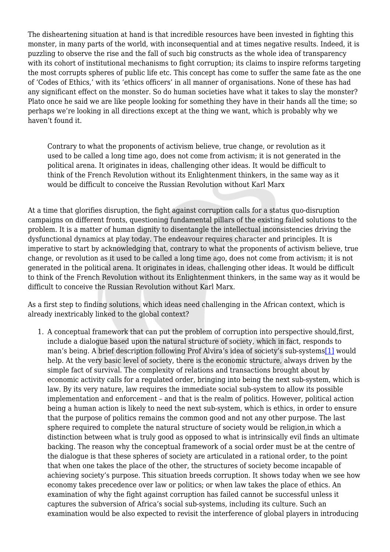The disheartening situation at hand is that incredible resources have been invested in fighting this monster, in many parts of the world, with inconsequential and at times negative results. Indeed, it is puzzling to observe the rise and the fall of such big constructs as the whole idea of transparency with its cohort of institutional mechanisms to fight corruption; its claims to inspire reforms targeting the most corrupts spheres of public life etc. This concept has come to suffer the same fate as the one of 'Codes of Ethics,' with its 'ethics officers' in all manner of organisations. None of these has had any significant effect on the monster. So do human societies have what it takes to slay the monster? Plato once he said we are like people looking for something they have in their hands all the time; so perhaps we're looking in all directions except at the thing we want, which is probably why we haven't found it.

Contrary to what the proponents of activism believe, true change, or revolution as it used to be called a long time ago, does not come from activism; it is not generated in the political arena. It originates in ideas, challenging other ideas. It would be difficult to think of the French Revolution without its Enlightenment thinkers, in the same way as it would be difficult to conceive the Russian Revolution without Karl Marx

At a time that glorifies disruption, the fight against corruption calls for a status quo-disruption campaigns on different fronts, questioning fundamental pillars of the existing failed solutions to the problem. It is a matter of human dignity to disentangle the intellectual inconsistencies driving the dysfunctional dynamics at play today. The endeavour requires character and principles. It is imperative to start by acknowledging that, contrary to what the proponents of activism believe, true change, or revolution as it used to be called a long time ago, does not come from activism; it is not generated in the political arena. It originates in ideas, challenging other ideas. It would be difficult to think of the French Revolution without its Enlightenment thinkers, in the same way as it would be difficult to conceive the Russian Revolution without Karl Marx.

As a first step to finding solutions, which ideas need challenging in the African context, which is already inextricably linked to the global context?

1. A conceptual framework that can put the problem of corruption into perspective should,first, include a dialogue based upon the natural structure of society, which in fact, responds to man's being. A brief description following Prof Alvira's idea of society's sub-system[s\[1\]](https://www.theelephant.info/corruption-slaying-monster/#_ftn1) would help. At the very basic level of society, there is the economic structure, always driven by the simple fact of survival. The complexity of relations and transactions brought about by economic activity calls for a regulated order, bringing into being the next sub-system, which is law. By its very nature, law requires the immediate social sub-system to allow its possible implementation and enforcement – and that is the realm of politics. However, political action being a human action is likely to need the next sub-system, which is ethics, in order to ensure that the purpose of politics remains the common good and not any other purpose. The last sphere required to complete the natural structure of society would be religion,in which a distinction between what is truly good as opposed to what is intrinsically evil finds an ultimate backing. The reason why the conceptual framework of a social order must be at the centre of the dialogue is that these spheres of society are articulated in a rational order, to the point that when one takes the place of the other, the structures of society become incapable of achieving society's purpose. This situation breeds corruption. It shows today when we see how economy takes precedence over law or politics; or when law takes the place of ethics. An examination of why the fight against corruption has failed cannot be successful unless it captures the subversion of Africa's social sub-systems, including its culture. Such an examination would be also expected to revisit the interference of global players in introducing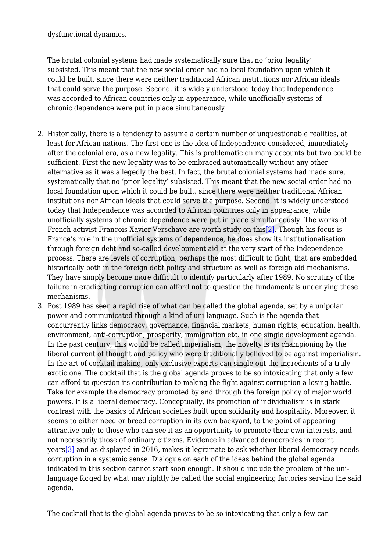dysfunctional dynamics.

The brutal colonial systems had made systematically sure that no 'prior legality' subsisted. This meant that the new social order had no local foundation upon which it could be built, since there were neither traditional African institutions nor African ideals that could serve the purpose. Second, it is widely understood today that Independence was accorded to African countries only in appearance, while unofficially systems of chronic dependence were put in place simultaneously

- 2. Historically, there is a tendency to assume a certain number of unquestionable realities, at least for African nations. The first one is the idea of Independence considered, immediately after the colonial era, as a new legality. This is problematic on many accounts but two could be sufficient. First the new legality was to be embraced automatically without any other alternative as it was allegedly the best. In fact, the brutal colonial systems had made sure, systematically that no 'prior legality' subsisted. This meant that the new social order had no local foundation upon which it could be built, since there were neither traditional African institutions nor African ideals that could serve the purpose. Second, it is widely understood today that Independence was accorded to African countries only in appearance, while unofficially systems of chronic dependence were put in place simultaneously. The works of French activist Francois-Xavier Verschave are worth study on thi[s\[2\]](https://www.theelephant.info/corruption-slaying-monster/#_ftn2). Though his focus is France's role in the unofficial systems of dependence, he does show its institutionalisation through foreign debt and so-called development aid at the very start of the Independence process. There are levels of corruption, perhaps the most difficult to fight, that are embedded historically both in the foreign debt policy and structure as well as foreign aid mechanisms. They have simply become more difficult to identify particularly after 1989. No scrutiny of the failure in eradicating corruption can afford not to question the fundamentals underlying these mechanisms.
- 3. Post 1989 has seen a rapid rise of what can be called the global agenda, set by a unipolar power and communicated through a kind of uni-language. Such is the agenda that concurrently links democracy, governance, financial markets, human rights, education, health, environment, anti-corruption, prosperity, immigration etc. in one single development agenda. In the past century, this would be called imperialism; the novelty is its championing by the liberal current of thought and policy who were traditionally believed to be against imperialism. In the art of cocktail making, only exclusive experts can single out the ingredients of a truly exotic one. The cocktail that is the global agenda proves to be so intoxicating that only a few can afford to question its contribution to making the fight against corruption a losing battle. Take for example the democracy promoted by and through the foreign policy of major world powers. It is a liberal democracy. Conceptually, its promotion of individualism is in stark contrast with the basics of African societies built upon solidarity and hospitality. Moreover, it seems to either need or breed corruption in its own backyard, to the point of appearing attractive only to those who can see it as an opportunity to promote their own interests, and not necessarily those of ordinary citizens. Evidence in advanced democracies in recent years[\[3\]](https://www.theelephant.info/corruption-slaying-monster/#_ftn3) and as displayed in 2016, makes it legitimate to ask whether liberal democracy needs corruption in a systemic sense. Dialogue on each of the ideas behind the global agenda indicated in this section cannot start soon enough. It should include the problem of the unilanguage forged by what may rightly be called the social engineering factories serving the said agenda.

The cocktail that is the global agenda proves to be so intoxicating that only a few can